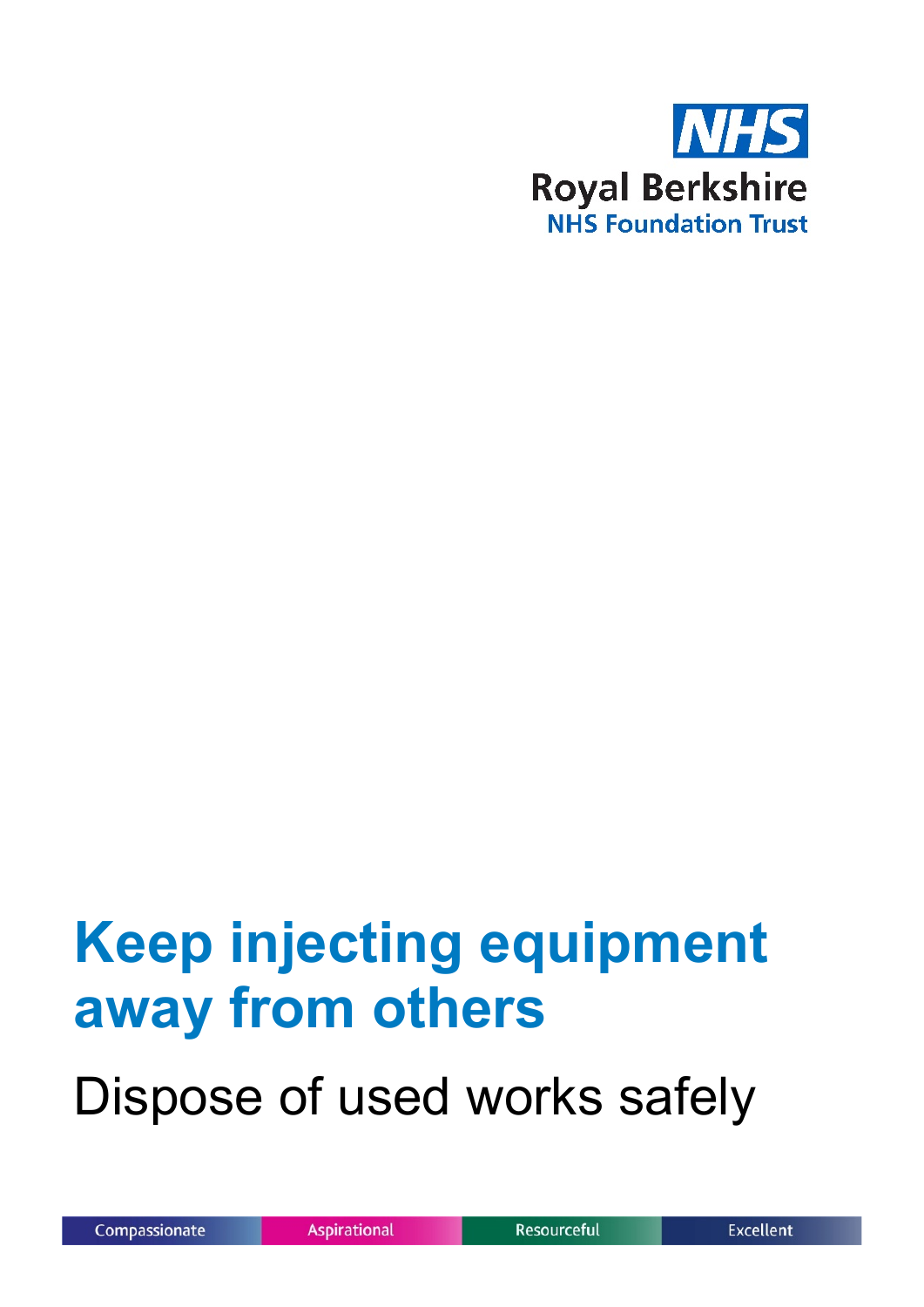

# **Keep injecting equipment away from others**

Dispose of used works safely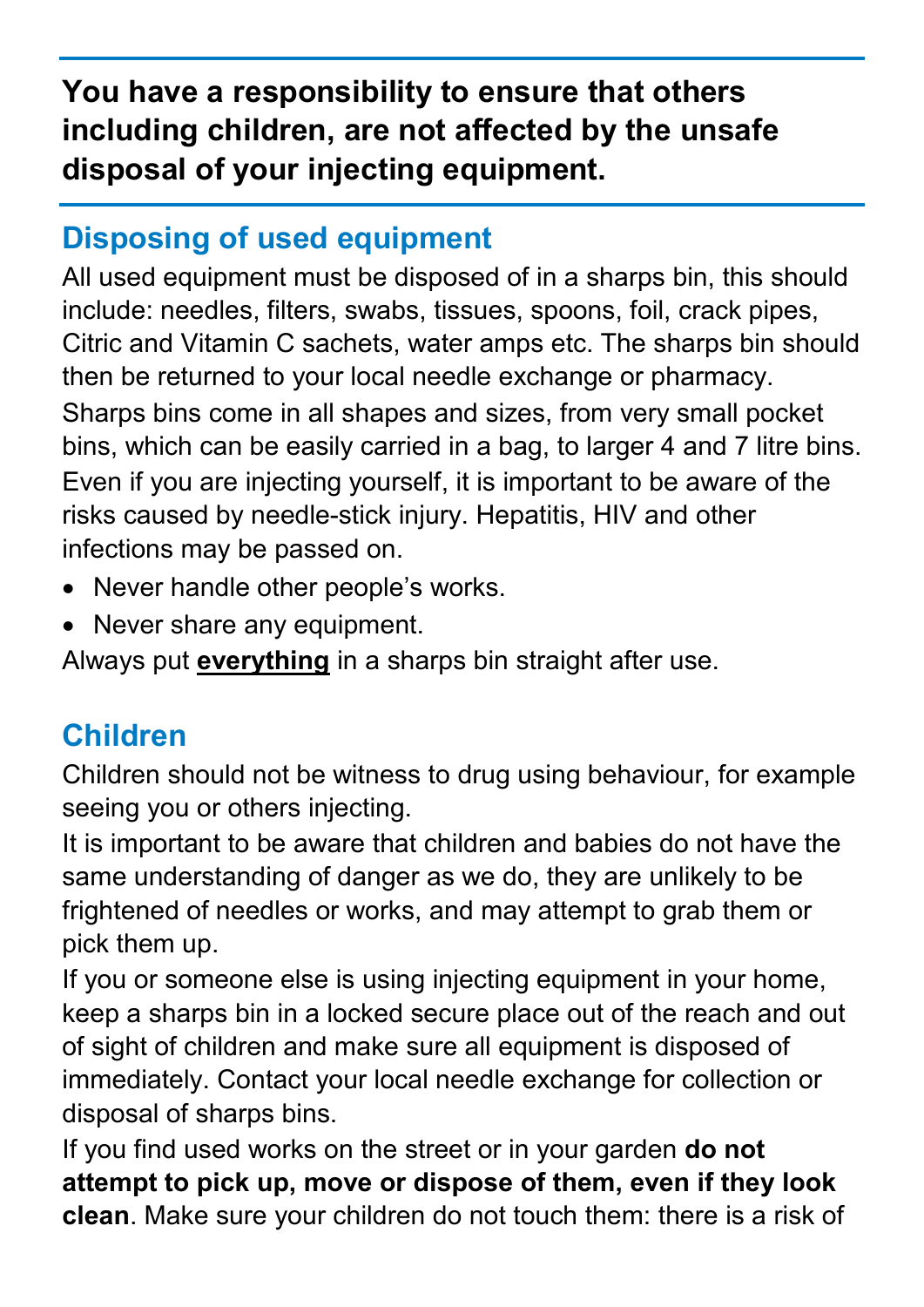# **You have a responsibility to ensure that others including children, are not affected by the unsafe disposal of your injecting equipment.**

## **Disposing of used equipment**

All used equipment must be disposed of in a sharps bin, this should include: needles, filters, swabs, tissues, spoons, foil, crack pipes, Citric and Vitamin C sachets, water amps etc. The sharps bin should then be returned to your local needle exchange or pharmacy. Sharps bins come in all shapes and sizes, from very small pocket bins, which can be easily carried in a bag, to larger 4 and 7 litre bins. Even if you are injecting yourself, it is important to be aware of the risks caused by needle-stick injury. Hepatitis, HIV and other infections may be passed on.

- Never handle other people's works.
- Never share any equipment.

Always put **everything** in a sharps bin straight after use.

# **Children**

Children should not be witness to drug using behaviour, for example seeing you or others injecting.

It is important to be aware that children and babies do not have the same understanding of danger as we do, they are unlikely to be frightened of needles or works, and may attempt to grab them or pick them up.

If you or someone else is using injecting equipment in your home, keep a sharps bin in a locked secure place out of the reach and out of sight of children and make sure all equipment is disposed of immediately. Contact your local needle exchange for collection or disposal of sharps bins.

If you find used works on the street or in your garden **do not attempt to pick up, move or dispose of them, even if they look clean**. Make sure your children do not touch them: there is a risk of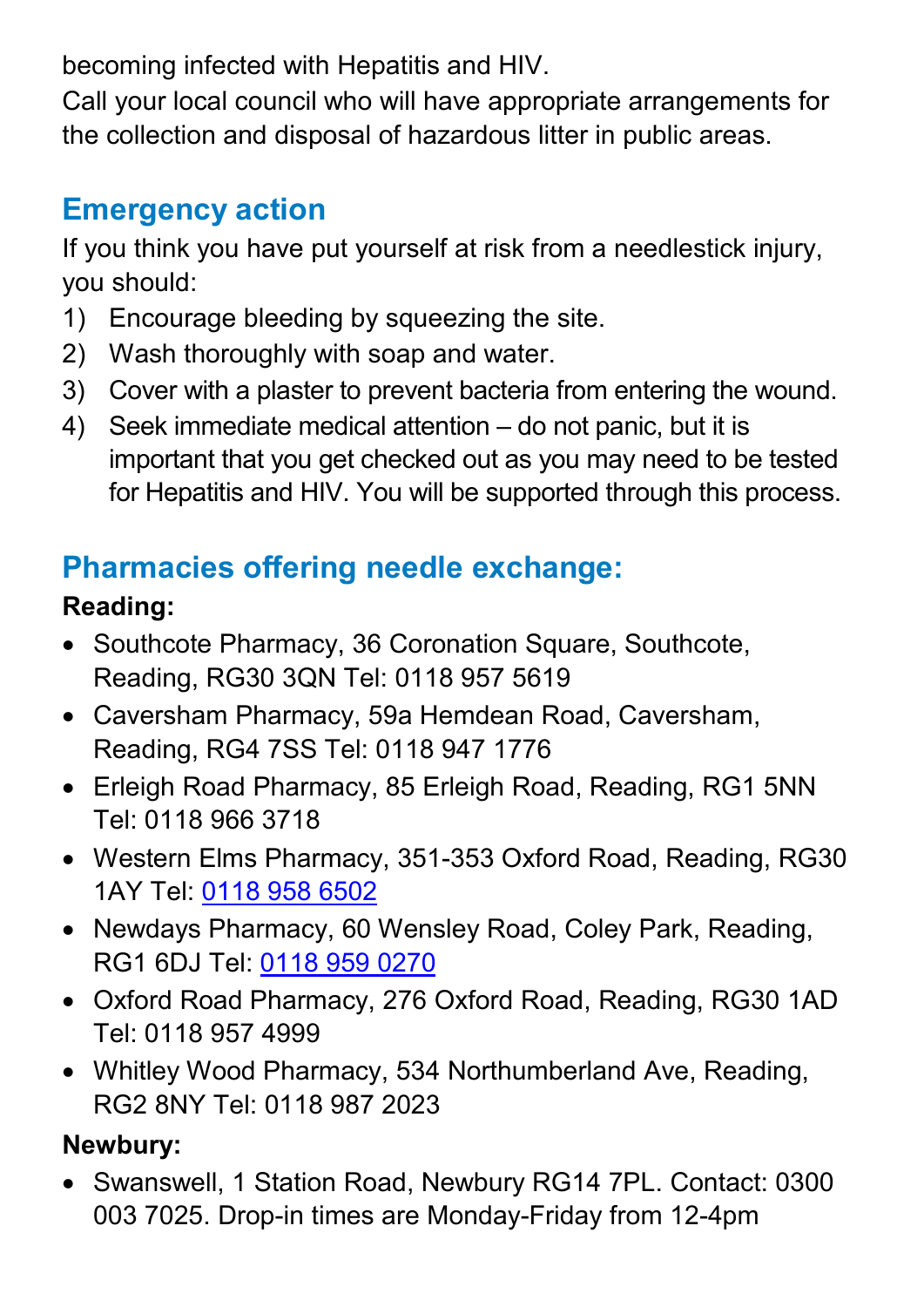becoming infected with Hepatitis and HIV.

Call your local council who will have appropriate arrangements for the collection and disposal of hazardous litter in public areas.

## **Emergency action**

If you think you have put yourself at risk from a needlestick injury, you should:

- 1) Encourage bleeding by squeezing the site.
- 2) Wash thoroughly with soap and water.
- 3) Cover with a plaster to prevent bacteria from entering the wound.
- 4) Seek immediate medical attention do not panic, but it is important that you get checked out as you may need to be tested for Hepatitis and HIV. You will be supported through this process.

# **Pharmacies offering needle exchange:**

### **Reading:**

- Southcote Pharmacy, 36 Coronation Square, Southcote, Reading, RG30 3QN Tel: 0118 957 5619
- Caversham Pharmacy, 59a Hemdean Road, Caversham, Reading, RG4 7SS Tel: 0118 947 1776
- Erleigh Road Pharmacy, 85 Erleigh Road, Reading, RG1 5NN Tel: 0118 966 3718
- Western Elms Pharmacy, 351-353 Oxford Road, Reading, RG30 1AY Tel: [0118 958 6502](https://www.google.com/search?rlz=1C1GCEO_enGB895GB895&tbm=lcl&ei=QB1PYN-cGeSl1fAP8fykgAY&q=oxford+road+pharmacy+reading+RG30+1AY&oq=oxford+road+pharmacy+reading+RG30+1AY&gs_l=psy-ab.3...21347.24705.0.25365.9.3.0.6.6.0.119.266.2j1.3.0....0...1c.1.64.psy-ab..0.8.174...0j0i457k1j0i22i30k1.0.c4WsH051Z6o)
- Newdays Pharmacy, 60 Wensley Road, Coley Park, Reading, RG1 6DJ Tel: [0118 959 0270](https://www.google.com/search?rlz=1C1GCEO_enGB895GB895&ei=jhtPYMbNKcmP1fAPoKSPoA8&q=newdays+pharmacy+reading&gs_ssp=eJzj4tZP1zcsSTEzKUkxMWC0UjWoMLEwN7NMMjdKNTFIMUw1TbIyqACKmJgnmiaZAOVS0oySvCTyUstTEiuLFQoyEotyE5MrFYpSE1My89IBWGAXtA&oq=Newda&gs_lcp=Cgdnd3Mtd2l6EAEYADINCC4QxwEQrwEQQxCTAjIFCAAQsQMyBQgAELEDMgIIADICCAAyAggAMgIIADICCAAyAggAMgUIABCxAzoECAAQQzoFCAAQkQI6CwguELEDEMcBEKMCOggIABCxAxCDAToKCAAQsQMQgwEQQzoLCC4QxwEQrwEQkQI6BwgAELEDEEM6BQguELEDOgcIABCxAxAKOgIILjoKCC4QxwEQrwEQCjoECAAQCjoECC4QCjoKCAAQsQMQgwEQClCs0ghYgeUIYMeGCWgCcAJ4AIABXIgB4ASSAQE4mAEAoAEBqgEHZ3dzLXdpesABAQ&sclient=gws-wiz)
- Oxford Road Pharmacy, 276 Oxford Road, Reading, RG30 1AD Tel: 0118 957 4999
- Whitley Wood Pharmacy, 534 Northumberland Ave, Reading, RG2 8NY Tel: 0118 987 2023

## **Newbury:**

• Swanswell, 1 Station Road, Newbury RG14 7PL. Contact: 0300 003 7025. Drop-in times are Monday-Friday from 12-4pm